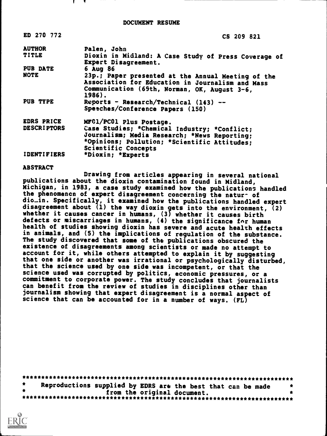| ED 270 772         | CS 209 821                                                                                                                                                          |
|--------------------|---------------------------------------------------------------------------------------------------------------------------------------------------------------------|
| <b>AUTHOR</b>      | Palen, John                                                                                                                                                         |
| TITLE              | Dioxin in Midland: A Case Study of Press Coverage of<br>Expert Disagreement.                                                                                        |
| PUB DATE           | $6$ Aug 86                                                                                                                                                          |
| NOTE               | 23p.; Paper presented at the Annual Meeting of the<br>Association for Education in Journalism and Mass<br>Communication (69th, Norman, OK, August 3-6,<br>1986).    |
| PUB TYPE           | Reports - Research/Technical $(143)$ --<br>Speeches/Conference Papers (150)                                                                                         |
| EDRS PRICE         | MFC1/PC01 Plus Postage.                                                                                                                                             |
| <b>DESCRIPTORS</b> | Case Studies; *Chemical Industry; *Conflict;<br>Journalism; Media Research; *News Reporting;<br>*Opinions; Pollution; *Scientific Attitudes;<br>Scientific Concepts |
| <b>IDENTIFIERS</b> | *Dioxin; *Experts                                                                                                                                                   |

## ABSTRACT

Drawing from articles appearing in several national publications about the dioxin contamination found in Midland, Michigan, in 1983, a case study examined how the publications handled the phenomenon of expert disagreement concerning the natur- of dio..in. Specifically, it examined how the publications handled expert disagreement about (1) the way dioxin gets into the environment, (2) whether it causes cancer in humans, (3) whether it causes birth defects or miscarriages in humans, (4) the significance fnr human health of studies showing dioxin has severe and acute health effects in animals, and (5) the implications of regulation of the substance. The study discovered that some of the publications obscured the existence of disagreements among scientists or made no attempt to account for it, while others attempted to explain it by suggesting that one side or another was irrational or psychologically disturbed, that the science used by one side was incompetent, or that the science used was corrupted by politics, economic pressures, or a commitment to corporate power. The study concludes that journalists can benefit from the review of studies in disciplines other than journalism showing that expert disagreement is a normal aspect of science that can be accounted for in a number of ways. (FL)

| $\star$ | Reproductions supplied by EDRS are the best that can be made |  |  |
|---------|--------------------------------------------------------------|--|--|
|         | from the original document.                                  |  |  |
|         |                                                              |  |  |

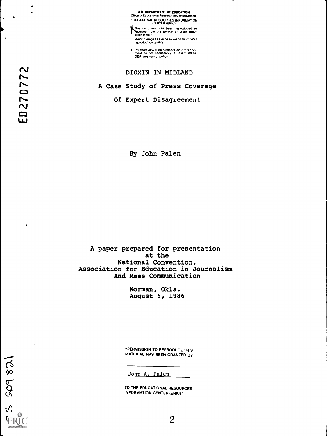U S DEPARTMENT Of EDUCATION Office ol Educational Ressafth and Improvement EDUCATIONAL RESOURCES INFORMATION CENTER (ERIC)

This document has been reproduced as<br>Received from the person or organization<br>originating it ſ

Minor changes have been made to improve reproduction quality

Points of view or oPrnions stated in this docu<br>ment: do: not: necessarily: represent: official<br>OERI position or policy

DIOXIN IN MIDLAND

A Case Study of Press Coverage

Of Expert Disagreement

By John Palen

A paper prepared for presentation at the National Convention, Association for Education in Journalism And Mass Communication

> Norman, Okla. August 6, 1986

"PERMISSION TO REPRODUCE THIS MATERIAL HAS BEEN GRANTED BY

John A. Palen

TO THE EDUCATIONAL RESOURCES INFORMATION CENTER (ERIC)

 $\bullet$ 

 $\ddot{\phantom{1}}$ 

 $5$  and  $82$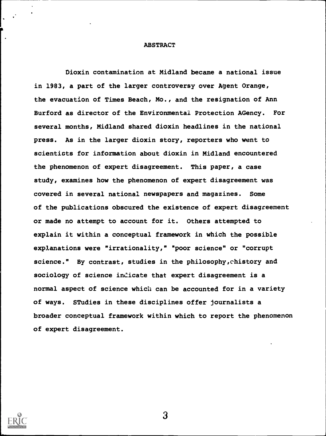# ABSTRACT

Dioxin contamination at Midland became a national issue in 1983, a part of the larger controversy over Agent Orange, the evacuation of Times Beach, Mo., and the resignation of Ann Burford as director of the Environmental Protection AGency. For several months, Midland shared dioxin headlines in the national press. As in the larger dioxin story, reporters who went to scientists for information about dioxin in Midland encountered the phenomenon of expert disagreement. This paper, a case study, examines how the phenomenon of expert disagreement was covered in several national newspapers and magazines. Some of the publications obscured the existence of expert disagreement or made no attempt to account for it. Others attempted to explain it within a conceptual framework in which the possible explanations were "irrationality," "poor science" or "corrupt science." By contrast, studies in the philosophy,chistory and sociology of science indicate that expert disagreement is a normal aspect of science which can be accounted for in a variety of ways. STudies in these disciplines offer journalists a broader conceptual framework within which to report the phenomenon of expert disagreement.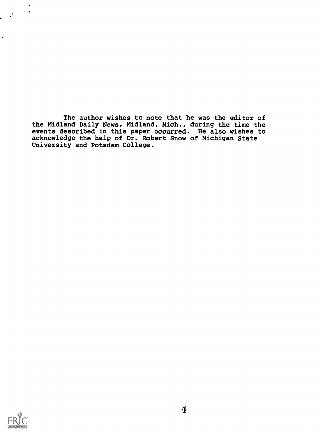The author wishes to note that he was the editor of the Midland Daily News, Midland, Mich., during the time the events described in this paper occurred. He also wishes to acknowledge the help of Dr. Robert Snow of Michigan State University and Potsdam College.



 $\ddot{\phantom{a}}$  $\bullet$ 

 $\mathcal{L}$  $\ddot{\phantom{0}}$ 

 $\bullet$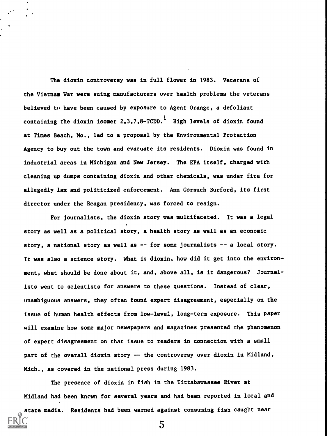The dioxin controversy was in full flower in 1983. Veterans of the Vietnam War were suing manufacturers over health problems the veterans believed to have been caused by exposure to Agent Orange, a defoliant containing the dioxin isomer  $2,3,7,8$ -TCDD. $^1$  High levels of dioxin found at Times Beach, Mo., led to a proposal by the Environmental Protection Agency to buy out the town and evacuate its residents. Dioxin was found in industrial areas in Michigan and New Jersey. The EPA itself, charged with cleaning up dumps containing dioxin and other chemicals, was under fire for allegedly lax and politicized enforcement. Ann Gorsuch Burford, its first director under the Reagan presidency, was forced to resign.

For journalists, the dioxin story was multifaceted. It was a legal story as well as a political story, a health story as well as an economic story, a national story as well as -- for some journalists -- a local story. It was also a science story. What is dioxin, how did it get into the environment, what should be done about it, and, above all, is it dangerous? Journalists went to scientists for answers to these questions. Instead of clear, unambiguous answers, they often found expert disagreement, especially on the issue of human health effects from low-level, long-term exposure. This paper will examine how some major newspapers and magazines presented the phenomenon of expert disagreement on that issue to readers in connection with a small part of the overall dioxin story -- the controversy over dioxin in Midland, Mich., as covered in the national press during 1983.

The presence of dioxin in fish in the Tittabawassee River at Midland had been known for several years and had been reported in local and

state media. Residents had been warned against consuming fish caught near 5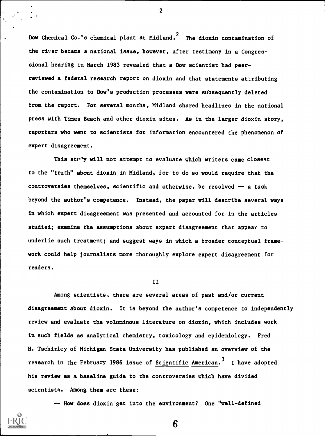Dow Chenical Co.'s chemical plant at Midland.<sup>2</sup> The dioxin contamination of the rixer became a national issue, however, after testimony in a Congressional hearing in March 1983 revealed that a Dow scientist had peerreviewed a federal research report on dioxin and that statements attributing the contamination to Dow's production processes were subsequently deleted from the report. For several months, Midland shared headlines in the national press with Times Beach and other dioxin sites. As in the larger dioxin story, reporters who went to scientists for information encountered the phenomenon of expert disagreement.

This study will not attempt to evaluate which writers came closest to the "truth" about dioxin in Midland, for to do so would require that the controversies themselves, scientific and otherwise, be resolved -- a task beyond the author's competence. Instead, the paper will describe several ways in which expert disagreement was presented and accounted for in the articles studied; examine the assumptions about expert disagreement that appear to underlie such treatment; and suggest ways in which a broader conceptual framework could help journalists more thoroughly explore expert disagreement for readers.

## II

Among scientists, there are several areas of past and/or current disagreement about dioxin. It is beyond the author's competence to independen tlyreview and evaluate the voluminous literature on dioxin, which includes work in such fields as analytical chemistry, toxicology and epidemiology. Fred H. Tschirley of Michigan State University has published an overview of the research in the February 1986 issue of Scientific American.<sup>3</sup> I have adopted his review as a baseline guide to the controversies which have divided scientists. Among them are these:

-- How does dioxin get into the environment? One "well-defined

6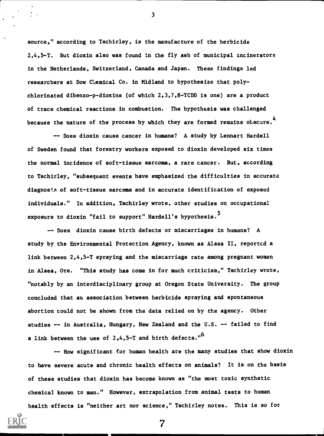source," according to Tschirley, is the manufacture of the herbicide 2,4,5-T. But dioxin also was found in the fly ash of municipal incinerators in the Netherlands, Switzerland, Canada and Japan. These findings led researchers at Dow Chemical Co. in Midland to hypothesize that polychlorinated dibenzo-p-dioxins (of which 2,3,7,8-TCDD is one) are a product of trace chemical reactions in combustion. The hypothesis was challenged because the nature of the process by which they are formed remains obscure.<sup>4</sup>

3

-- Does dioxin cause cancer in humans? A study by Lennart Hardell of Sweden found that forestry workers exposed to dioxin developed six times the normal incidence of soft-tissue sarcoma, a rare cancer. But, according to Tschirley, "subsequent events have emphasized the difficulties in accurate diagnosis of soft-tissue sarcoma and in accurate identification of exposed individuals." In addition, Tschirley wrote, other studies on occupational exposure to dioxin "fail to support" Hardell's hypothesis.<sup>5</sup>

-- Does dioxin cause birth defects or miscarriages in humans? A study by the Environmental Protection Agency, known as Alsea II, reportcd a link between 2,4,5-T spraying and the miscarriage rate among pregnant women in Alsea, Ore. "This study has come in for much criticism," Tschirley wrote, "notably by an interdisciplinary group at Oregon State University. The group concluded that an association between herbicide spraying and spontaneous abortion could not be shown from the data relied on by the agency. Other studies -- in Australia, Hungary, New Zealand and the U.S. -- failed to find a link between the use of 2,4,5-T and birth defects."<sup>6</sup>

-- How significant for human health are the many studies that show dioxin to have severe acute and chronic health effects on animals? It is on the basis of these studies that dioxin has become known as "the most toxic synthetic chemical known to man." However, extrapolation from animal tests to human health effects is "neither art nor science," Tschirley notes. This is so for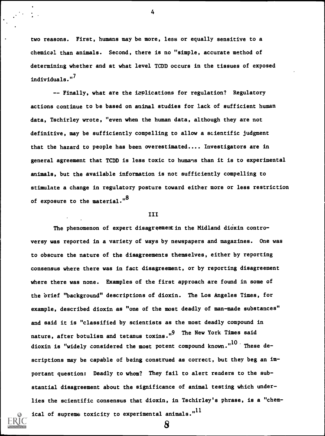two reasons. First, humans may be more, less or equally sensitive to a chemical than animals. Second, there is no "simple, accurate method of determining whether and at what level TCDD occurs in the tissues of exposed individuals."<sup>7</sup>

-- Finally, what are the implications for regulation? Regulatory actions continue to be based on animal studies for lack of sufficient human data, Tschirley wrote, "even when the human data, although they are not definitive, may be sufficiently compelling to allow a scientific judgment that the hazard to people has been overestimated.... Investigators are in general agreement that TCDD is less toxic to humans than it is to experimental animals, but the available information is not sufficiently compelling to stimulate a change in regulatory posture toward either more or less restriction of exposure to the material."<sup>8</sup>

## III

The phenomenon of expert disagreement in the Midland dioxin controversy was reported in a variety of ways by newspapers and magazines. One was to obscure the nature of the disagreements themselves, either by reporting consensus where there was in fact disagreement, or by reporting disagreement where there was none. Examples of the first approach are found in some of the brief "background" descriptions of dioxin. The Los Angeles Times, for example, described dioxin as "one of the most deadly of man-made substances" and said it is "classified by scientists as the most deadly compound in nature, after botulism and tetanus toxins."<sup>9</sup> The New York Times said dioxin is "widely considered the most potent compound known."<sup>10</sup> These descriptions may be capable of being construed as correct, but they beg an important question: Deadly to whom? They fail to alert readers to the substantial disagreement about the significance of animal testing which underlies the scientific consensus that dioxin, in Tschirley's phrase, is a "chemical of supreme toxicity to experimental animals." $^{\rm l1}$ 

8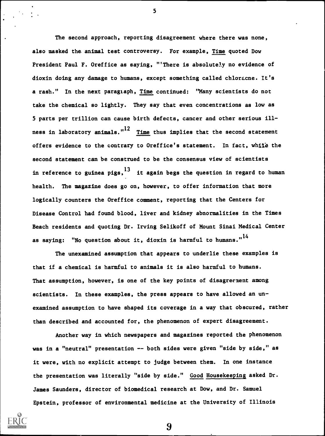The second approach, reporting disagreement where there was none, also masked the animal test controversy. For example, Time quoted Dow President Paul F. Oreffice as saying, "'There is absolutely no evidence of dioxin doing any damage to humans, except something called chloracne. It's a rash." In the next paragraph, Time continued: "Many scientists do not take the chemical so lightly. They say that even concentrations as low as 5 parts per trillion can cause birth defects, cancer and other serious illness in laboratory animals." $12$  Time thus implies that the second statement offers evidence to the contrary to Oreffice's statement. In fact, while the second statement can be construed to be the consensus view of scientists in reference to guinea  $pigs<sub>13</sub>$  it again begs the question in regard to human health. The magazine does go on, however, to offer information that more logically counters the Oreffice comment, reporting that the Centers for Disease Control had found blood, liver and kidney abnormalities in the Times Beach residents and quoting Dr. Irving Selikoff of Mount Sinai Medical Center as saying: "No question about it, dioxin is harmful to humans." $^{14}$ 

The unexamined assumption that appears to underlie these examples is that if a chemical is harmful to animals it is also harmful to humans. That assumption, however, is one of the key points of disagreement among scientists. In these examples, the press appears to have allowed an unexamined assumption to have shaped its coverage in a way that obscured, rather than described and accounted for, the phenomenon of expert disagreement.

Another way in which newspapers and magazines reported the phenomenon was in a "neutral" presentation -- both sides were given "side by side," as it were, with no explicit attempt to judge between them. In one instance the presentation was literally "side by side." Good Housekeeping asked Dr. James Saunders, director of biomedical research at Dow, and Dr. Samuel Epstein, professor of environmental medicine at the University of Illinois



5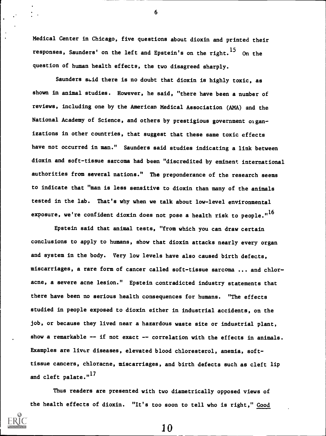Medical Center in Chicago, five questions about dioxin and printed their responses, Saunders' on the left and Epstein's on the right.<sup>15</sup> On the question of human health effects, the two disagreed sharply.

6

Saunders seid there is no doubt that dioxin is highly toxic, as shown in animal studies. However, he said, "there have been a number of reviews, including one by the American Medical Association (AMA) and the National Academy of Science, and others by prestigious government organizations in other countries, that suggest that these same toxic effects have not occurred in man." Saunders said studies indicating a link between dioxin and soft-tissue sarcoma had been "discredited by eminent international authorities from several nations." The preponderance of the research seems to indicate that "man is less sensitive to dioxin than many of the animals tested in the lab. That's why when we talk about low-level environmental exposure, we're confident dioxin does not pose a health risk to people." $^{16}$ 

Epstein said that animal tests, "from which you can draw certain conclusions to apply to humans, show that dioxin attacks nearly every organ and system in the body. Very low levels have also caused birth defects, miscarriages, a rare form of cancer called soft-tissue sarcoma ... and chloracne, a severe acne lesion." Epstein contradicted industry statements that there have been no serious health consequences for humans. "The effects studied in people exposed to dioxin either in industrial accidents, on the job, or because they lived near a hazardous waste site or industrial plant, show a remarkable  $-$  if not exact  $-$  correlation with the effects in animals. Examples are liver diseases, elevated blood chloresterol, anemia, softtissue cancers, chloracne, miscarriages, and birth defects such as cleft lip and cleft palate."<sup>17</sup>

Thus readers are presented with two diametrically opposed views of the health effects of dioxin. "It's too soon to tell who is right," Good

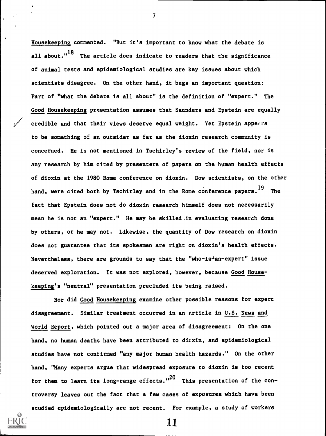Housekeeping commented. "But it's important to know what the debate is all about."<sup>18</sup> The arricle does indicate to readers that the significance of animal tests and epidemiological studies are key issues about which scientists disagree. On the other hand, it begs an important question: Part of "what the debate is all about" is the definition of "expert." The Good Housekeeping presentation assumes that Saunders and Epstein are equally credible and that their views deserve equal weight. Yet Epstein appears to be something of an outsider as far as the dioxin research community is concerned. He is not mentioned in Tschirley's review of the field, nor is any research by him cited by presenters of papers on the human health effects of dioxin at the 1980 Rome conference on dioxin. Dow scientists, on the other hand, were cited both by Tschirley and in the Rome conference papers.<sup>19</sup> The fact that Epstein does not do dioxin research himself does not necessarily mean he is not an "expert." He may be skilled .in evaluating research done by others, or he may not. Likewise, the quantity of Dow research on dioxin does not guarantee that its spokesmen are right on dioxin's health effects. Nevertheless, there are grounds to say that the "who-is<sup>1</sup>an-expert" issue deserved exploration. It was not explored, however, because Good Housekeeping's "neutral" presentation precluded its being raised.

7

Nor did Good Housekeeping examine other possible reasons for expert disagreement. Similar treatment occurred in an article in U.S. News and World Report, which pointed out a major area of disagreement: On the one hand, no human deaths have been attributed to dicxin, and epidemiological studies have not confirmed "any major human health hazards." On the other hand, "Many experts argue that widespread exposure to dioxin is too recent for them to learn its long-range effects."<sup>20</sup> This presentation of the controversy leaves out the fact that a few cases of exposures which have been studied epidemiologically are not recent. For example, a study of workers

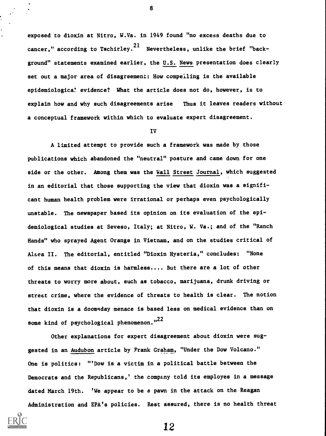exposed to dioxin at Nitro, W.Va. in 1949 found "no excess deaths due to cancer," according to Tschirley.<sup>21</sup> Nevertheless, unlike the brief "background" statements examined earlier, the U.S. News presentation does clearly set out a major area of disagreement: How compeiling is the available epidemiologica? evidence? What the article does not do, however, is to explain how and why such disagreements arise Thus it leaves readers without a conceptual framework within which to evaluate expert disagreement.

8

### IV

A limited attempt to provide such a framework was made by those publications which abandoned the "neutral" posture and came down for one side or the other. Among them was the Wall Street Journal, which suggested in an editorial that those supporting the view that dioxin was a significant human health problem were irrational or perhaps even psychologically unstable. The newspaper based its opinion on its evaluation of the epidemiological studies at Seveso, Italy; at Nitro, W. Va.; and of the "Ranch Hands" who sprayed Agent Orange in Vietnam, and on the studies critical of Alsea II. The editorial, entitled "Dioxin Hysteria," concludes: "None of this means that dioxin is harmless.... But there are a lot of other threats to worry more about, such as tobacco, marijuana, drunk driving or street crime, where the evidence of threats to health is clear. The notion that dioxin is a doomsday menace is based less on medical evidence than on some kind of psychological phenomenon."<sup>22</sup>

Other explanations for expert disagreement about dioxin were suggested in an Audubon article by Frank Graham, "Under the Dow Volcano." One is politics: "'Dow is a victim in a political battle between the Democrats and the Republicans,' the company told its employes in a message dated March 19th. 'We appear to be a pawn in the attack on the Reagan Administration and EPA's policies. Rest assured, there is no health threat

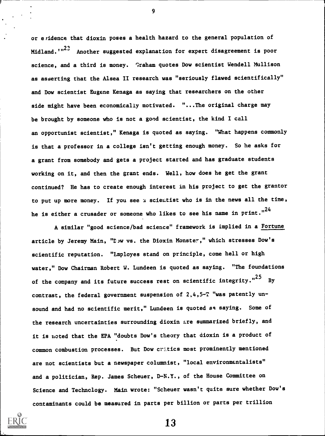or evidence that dioxin poses a health hazard to the general population of Midland.""<sup>23</sup> Another suggested explanation for expert disagreement is poor science, and a third is money. Graham quotes Dow scientist Wendell Mullison as asserting that the Alsea II research was "seriously flawed scientifically" and Dow scientist Eugene Kenaga as saying that researchers on the other side might have been economically motivated. "...The original charge may be brought by someone who is not a good scientist, the kind I call an opportunist scientist," Kenaga is quoted as saying. "What happens commonly is that a professor in a college isn't getting enough money. So he asks for a grant from somebody and gets a project started and has graduate students working on it, and then the grant ends. Well, how does he get the grant continued? He has to create enough interest in his project to get the grantor to put up more money. If you see a scientist who is in the news all the time, he is either a crusader or someone who likes to see his name in print."<sup>24</sup>

9

A similar "good science/bad science" framework is implied in a Fortune article by Jeremy Main, "Dow vs. the Dioxin Monster," which stresses Dow's scientific reputation. "Employes stand on principle, come hell or high water," Dow Chairman Robert W. Lundeen is quoted as saying. "The foundations of the company and its future success rest on scientific integrity."<sup>25</sup> By contrast, the federal government suspension of 2,4,5-T "was patently unsound and had no scientific merit," Lundeen is quoted as saying. Some of the research uncertainties surrounding dioxin are summarized briefly, and it is noted that the EPA "doubts Dow's theory that dioxin is a product of common combustion processes. But Dow critics most prominently mentioned are not scientists but a newspaper columnist, "local environmentalists" and a politician, Rep. James Scheuer, D-N.Y., of the House Committee on Science and Technology. Main wrote: "Scheuer wasn't quite sure whether Dow's contaminants could be measured in parts per billion or parts per trillion

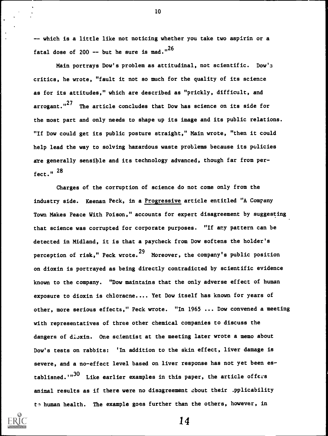-- which is a little like not noticing whether you take two aspirin or a fatal dose of 200 -- but he sure is mad."<sup>26</sup>

10

Main portrays Dow's problem as attitudinal, not scientific. Dow's critics, he wrote, "fault it not so much for the quality of its science as for its attitudes," which are described as "prickly, difficult, and arrogant."<sup>27</sup> The article concludes that Dow has science on its side for the most part and only needs to shape up its image and its public relations. "If Dow could get its public posture straight," Main wrote, "then it could help lead the way to solving hazardous waste problems because its policies are generally sensible and its technology advanced, though far from perfect. " 28

Charges of the corruption of science do not come only from the industry side. Keenan Peck, in a Progressive article entitled "A Company Town Makes Peace With Poison," accounts for expert disagreement by suggesting that science was corrupted for corporate purposes. "If any pattern can be detected in Midland, it is that a paycheck from Dow softens the holder's perception of risk," Peck wrote.<sup>29</sup> Moreover, the company's public position on dioxin is portrayed as being directly contradicted by scientific evidence known to the company. "Dow maintains that the only adverse effect of human exposure to dioxin is chloracne.... Yet Dow itself has known for years of other, more serious effects," Peck wrote. "In 1965 ... Dow convened a meeting with representatives of three other chemical companies to discuss the dangers of dioxin. One scientist at the meeting later wrote a memo about Dow's tests on rabbits: 'In addition to the skin effect, liver damage is severe, and a no-effect level based on liver response has not yet been establisned.'" $30$  Like earlier examples in this paper, the article offers animal results as if there were no disagreement about their .pplicability to human health. The example goes further than the others, however, in

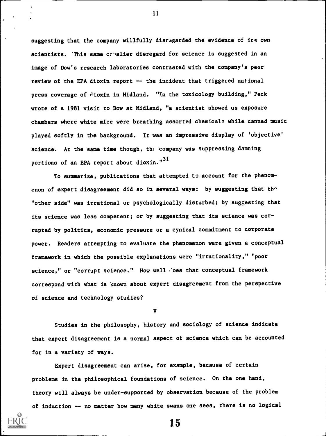suggesting that the company willfully disregarded the evidence of its own scientists. This same cavalier disregard for science is suggested in an image of Dow's research laboratories contrasted with the company's peer review of the EPA dioxin report -- the incident that triggered national press coverage of dioxin in Midland. "In the toxicology building," Peck wrote of a 1981 visit to Dow at Midland, "a scientist showed us exposure chambers where white mice were breathing assorted chemicals while canned music played softly in the background. It was an impressive display of 'objective' science. At the same time though, the company was suppressing damning portions of an EPA report about dioxin."<sup>31</sup>

To summarize, publications that attempted to account for the phenomenon of expert disagreement did so in several ways: by suggesting that the "other side" was irrational or psychologically disturbed; by suggesting that its science was less competent; or by suggesting that its science was corrupted by politics, economic pressure or a cynical commitment to corporate power. Readers attempting to evaluate the phenomenon were given a conceptual framework in which the possible explanations were "irrationality," "poor science," or "corrupt science." How well roes that conceptual framework correspond with what is known about expert disagreement from the perspective of science and technology studies?

V

Studies in the philosophy, history and sociology of science indicate that expert disagreement is a normal aspect of science which can be accounted for in a variety of ways.

Expert disagreement can arise, for example, because of certain problems in the philosophical foundations of science. On the one hand, theory will always be under-supported by observation because of the problem of induction -- no matter how many white swans one sees, there is no logical

15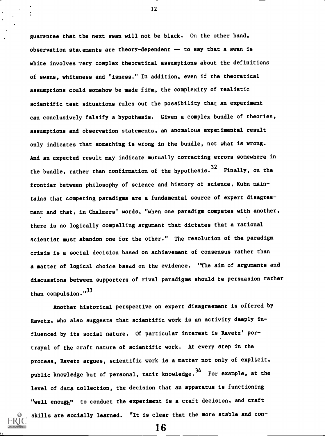guarantee that the next swan will not be black. On the other hand, observation statements are theory-dependent  $-$  to say that a swan is white involves very complex theoretical assumptions about the definitions of swans, whiteness and "isness." In addition, even if the theoretical assumptions could somehow be made firm, the complexity of realistic scientific test situations rules out the possibility that an experiment can conclusively falsify a hypothesis. Given a complex bundle of theories, assumptions and observation statements, an anomalous experimental result only indicates that something is wrong in the bundle, not what is wrong. And an expected result may indicate mutually correcting errors somewhere in the bundle, rather than confirmation of the hypothesis.<sup>32</sup> Finally, on the frontier between philosophy of science and history of science, Kuhn maintains that competing paradigms are a fundamental source of expert disagreement and that, in Chalmers' words, "when one paradigm competes with another, there is no logically compelling argument that dictates that a rational scientist must abandon one for the other." The resolution of the paradigm crisis is a social decision based on achievement of consensus rather than a matter of logical choice based on the evidence. "The aim of arguments and discussions between supporters of rival paradigms should be persuasion rather than compulsion."33

Another historical perspective on expert disagreement is offered by Ravetz, who also suggests that scientific work is an activity deeply influenced by its social nature. Of particular interest is Ravetz' portrayal of the craft nature of scientific work. At every step in the process, Ravetz argues, scientific work is a matter not only of explicit, public knowledge but of personal, tacit knowledge.<sup>34</sup> For example, at the level of data collection, the decision that an apparatus is functioning "well enough" to conduct the experiment is a craft decision, and craft skills are socially learned. "It is clear that the more stable and con-

16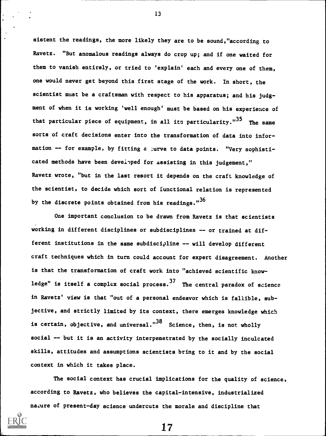sistent the readings, the more likely they are to be sound,"according to Ravetz. "But anomalous readings always do crop up; and if one waited for them to vanish entirely, or tried to 'explain' each and every one of them, one would never get beyond this first stage of the work. In short, the scientist must be a craftsman with respect to his apparatus; and his judgment of when it is working 'well enough' must be based on his experience of that particular piece of equipment, in all its particularity."<sup>35</sup> The same sorts of craft decisions enter into the transformation of data into information -- for example, by fitting a zurve to data points. "Very sophisticated methods have been deveipped for assisting in this judgement," Ravetz wrote, "but in the last resort it depends on the craft knowledge of the scientist, to decide which sort of functional relation is represented by the discrete points obtained from his readings." $36$ 

One important conclusion to be drawn from Ravetz is that scientists working in different disciplines or subdisciplines -- or trained at different institutions in the same subdiscipline -- will develop different craft techniques which in turn could account for expert disagreement. Another is that the transformation of craft work into "achieved scientific knowledge" is itself a complex social process.  $37$  The central paradox of science in Ravetz' view is that "out of a personal endeavor which is fallible, subjective, and strictly limited by its context, there emerges knowledge which is certain, objective, and universal."<sup>38</sup> Science, then, is not wholly social -- but it is an activity interpenetrated by the socially inculcated skills, attitudes and assumptions scientists bring to it and by the social context in which it takes place.

The social context has crucial implications for the quality of science, according to Ravetz, who believes the capital-intensive, industrialized nature of present-day science undercuts the morale and discipline that



17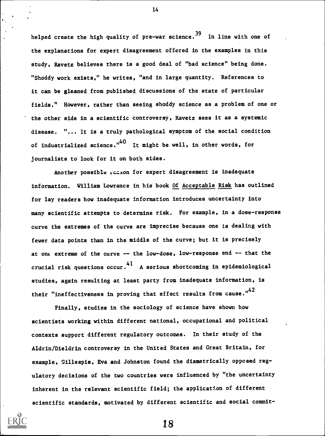helped create the high quality of pre-war science.<sup>39</sup> In line with one of the explanations for expert disagreement offered in the examples in this study, Ravetz believes there is a good deal of "bad science" being done. "Shoddy work exists," he writes, "and in large quantity. References to it can be gleaned from published discussions of the state of particular fields." However, rather than seeing shoddy science as a problem of one or the other side in a scientific controversy, Ravetz sees it as a systemic disease. "... It is a truly pathological symptom of the social condition of industrialized science." $40$  It might be well, in other words, for journalists to look for it on both sides.

Another possible reason for expert disagreement is inadequate information. William Lowrance in his book Of Acceptable Risk has outlined for lay readers how inadequate information introduces uncertainty into many scientific attempts to determine risk. For example, in a dose-response curve the extremes of the curve are imprecise because one is dealing with fewer data points than in the middle of the curve; but it is precisely at one extreme of the curve  $--$  the low-dose, low-response end  $--$  that the crucial risk questions occur. <sup>41</sup> A serious shortcoming in epidemiological studies, again resulting at least party from inadequate information, is their "ineffectiveness in proving that effect results from cause."<sup>42</sup>

Finally, studies in the sociology of science have shown how scientists working within different national, occupational and political contexts support different regulatory outcomes. In their study of the Aldrin/Dieldrin controversy in the United States and Great Britain, for example, Gillespie, Eva and Johnston found the diametrically oppcsed regulatory decisions of the two countries were influenced by "the uncertainty inherent in the relevant scientific field; the application of different scientific standards, motivated by different scientific and social commit-



18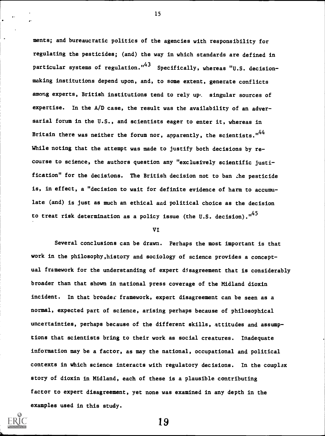ments; and bureaucratic politics of the agencies with responsibility for regulating the pesticides; (and) the way in which standards are defined in particular systems of regulation."<sup>43</sup> Specifically, whereas "U.S. decisionmaking institutions depend upon, and, to some extent, generate conflicts among experts, British institutions tend to rely up. singular sources of expertise. In the A/D case, the result was the availability of an adversarial forum in the U.S., and scientists eager to enter it, whereas in Britain there was neither the forum nor, apparently, the scientists." $44$ While noting that the attempt was made to justify both decisions by re course to science, the authors question any "exclusively scientific justification" for the decisions. The British decision not to ban zhe pesticide is, in effect, a "decision to wait for definite evidence of harm to accumulate (and) is just as much an ethical and political choice as the decision to treat risk determination as a policy issue (the U.S. decision).  $1^{45}$ 

15

#### VI

Several conclusions can be drawn. Perhaps the most important is that work in the philosophy,history and sociology of science provides a conceptual framework for the understanding of expert disagreement that is considerably broader than that shown in national press coverage of the Midland dioxin incident. In that broader framework, expert disagreement can be seen as a normal, expected part of science, arising perhaps because of philosophical uncertainties, perhaps because of the different skills, attitudes and assumptions that scientists bring to their work as social creatures. Inadequate information may be a factor, as may the national, occupational and political contexts in which science interacts with regulatory decisions. In the complex story of dioxin in Midland, each of these is a plausible contributing factor to expert disagreement, yet none was examined in any depth in the examples used in this study.

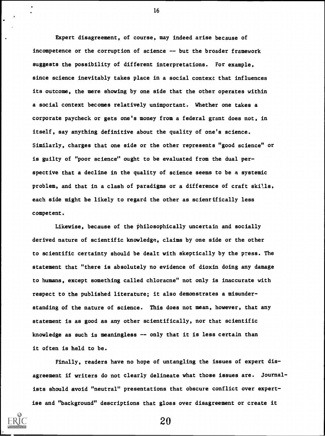Expert disagreement, of course, may indeed arise because of incompetence or the corruption of science -- but the broader framework suggests the possibility of different interpretations. For example, since science inevitably takes place in a social context that influences its outcome, the mere showing by one side that the other operates within a social context becomes relatively unimportant. Whether one takes a corporate paycheck or gets one's money from a federal grant does not, in itself, say anything definitive about the quality of one's science. Similarly, charges that one side or the other represents "good science" or is guilty of "poor science" ought to be evaluated from the dual perspective that a decline in the quality of science seems to be a systemic problem, and that in a clash of paradigms or a difference of craft skills, each side might be likely to regard the other as scientifically less competent.

Likewise, because of the philosophically uncertain and socially derived nature of scientific knowledge, claims by one side or the other to scientific certainty should be dealt with skeptically by the press. The statement that "there is absolutely no evidence of dioxin doing any damage to humans, except something called chloracne" not only is inaccurate with respect to the published literature; it also demonstrates a misunderstanding of the nature of science. This does not mean, however, that any statement is as good as any other scientifically, nor that scientific knowledge as such is meaningless  $-\sim$  only that it is less certain than it often is held to be.

Finally, readers have no hope of untangling the issues of expert disagreement if writers do not clearly delineate what those issues are. Journalists should avoid "neutral" presentations that obscure conflict over expertise and "background" descriptions that gloss over disagreement or create it



16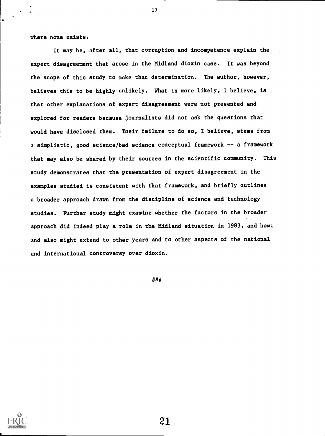where none exists.

It may be, after all, that corruption and incompetence explain the expert disagreement that arose in the Midland dioxin case. It was beyond the scope of this study to make that determination. The author, however, believes this to be highly unlikely. What is more likely, I believe, is that other explanations of expert disagreement were not presented and explored for readers because journalists did not ask the questions that would have disclosed them. Their failure to do so, I believe, stems from a simplistic, good science/bad science conceptual framework -- a framework that may also be shared by their sources in the scientific community. This study demonstrates that the presentation of expert disagreement in the examples studied is consistent with that framework, and briefly outlines a broader approach drawn from the discipline of science and technology studies. Further study might examine whether the factors in the broader approach did indeed play a role in the Midland situation in 1983, and how; and also might extend to other years and to other aspects of the national and international controversy over dioxin.

17

###

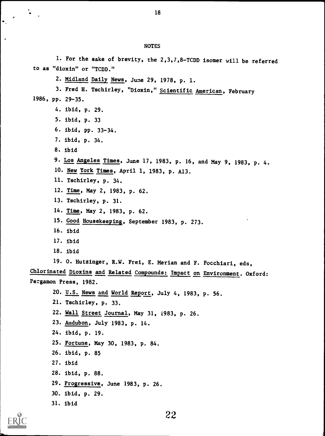NOTES 1. For the sake of brevity, the 2,3,7,8-TCDD isomer will be referred to as "dioxin" or "TCDD." 2. Midland Daily News, June 29, 1978, p. 1. 3. Fred H. Tschirley, "Dioxin," Scientific American, February 1986, pp. 29-35. 4. ibid, p. 29. 5. ibid, p. 33 6. ibid, pp. 33-34. 7. ibid, p. 34. 8. ibid 9. Los Angeles Times, June 17, 1983, p. 16, and May 9, 1983, p. 4. 10. New York Times, April 1, 1983, p. A13. 11. Tschirley, p. 34. 12. Time, May 2, 1983, p. 62. 13. Tschirley, p. 31. 14. Time, May 2, 1983, p. 62. 15. Good Housekeeping, September 1983, p. 273. 16. ibid 17. ibid 18. ibid 19. O. Hutzinger, R.W. Frei, E. Merian and F. Pocchiari, eds, Chlorinated Dioxins and Related Compounds: Impact on Environment. Oxford: Pergamon Press, 1982. 20. U.S. News and World Report, July 4, 1983, p. 56. 21. Tschirley, p. 33. 22. Wall Street Journal, May 31, 1983, p. 26. 23. Audubon, July 1983, p. 14. 24. ibid, p. 19. 25. Fortune, May 30, 1983, p. 84. 26. ibid, p. 85 27. ibid 28. ibid, p. 88. 29. Progressive, June 1983, p. 26. 30. ibid, p. 29. 31. ibid 2,2